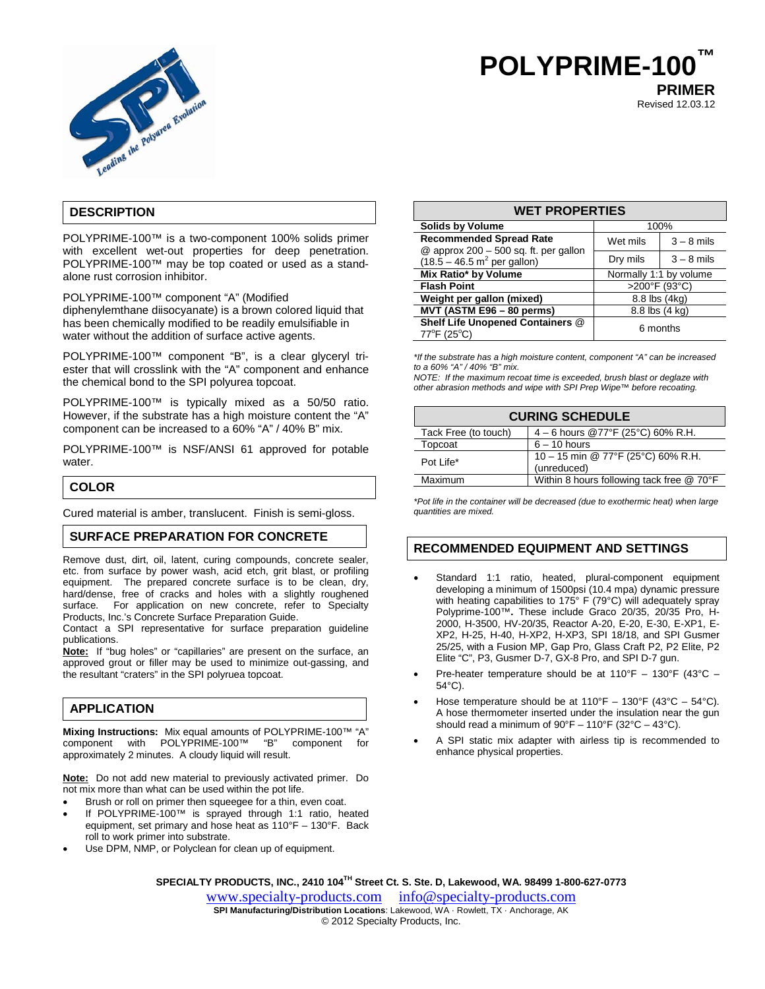

# **POLYPRIME-100™ PRIMER**

Revised 12.03.12

# **DESCRIPTION**

POLYPRIME-100™ is a two-component 100% solids primer with excellent wet-out properties for deep penetration. POLYPRIME-100™ may be top coated or used as a standalone rust corrosion inhibitor.

POLYPRIME-100™ component "A" (Modified

diphenylemthane diisocyanate) is a brown colored liquid that has been chemically modified to be readily emulsifiable in water without the addition of surface active agents.

POLYPRIME-100™ component "B", is a clear glyceryl triester that will crosslink with the "A" component and enhance the chemical bond to the SPI polyurea topcoat.

POLYPRIME-100™ is typically mixed as a 50/50 ratio. However, if the substrate has a high moisture content the "A" component can be increased to a 60% "A" / 40% B" mix.

POLYPRIME-100™ is NSF/ANSI 61 approved for potable water.

# **COLOR**

Cured material is amber, translucent. Finish is semi-gloss.

# **SURFACE PREPARATION FOR CONCRETE**

Remove dust, dirt, oil, latent, curing compounds, concrete sealer, etc. from surface by power wash, acid etch, grit blast, or profiling equipment. The prepared concrete surface is to be clean, dry, hard/dense, free of cracks and holes with a slightly roughened surface. For application on new concrete, refer to Specialty Products, Inc.'s Concrete Surface Preparation Guide.

Contact a SPI representative for surface preparation guideline publications.

**Note:** If "bug holes" or "capillaries" are present on the surface, an approved grout or filler may be used to minimize out-gassing, and the resultant "craters" in the SPI polyruea topcoat.

# **APPLICATION**

**Mixing Instructions:** Mix equal amounts of POLYPRIME-100™ "A" component with POLYPRIME-100™ "B" component for approximately 2 minutes. A cloudy liquid will result.

**Note:** Do not add new material to previously activated primer. Do not mix more than what can be used within the pot life.

- Brush or roll on primer then squeegee for a thin, even coat.
- If POLYPRIME-100™ is sprayed through 1:1 ratio, heated equipment, set primary and hose heat as 110°F – 130°F. Back roll to work primer into substrate.
- Use DPM, NMP, or Polyclean for clean up of equipment.

| <b>WET PROPERTIES</b>                                                   |                        |              |  |
|-------------------------------------------------------------------------|------------------------|--------------|--|
| <b>Solids by Volume</b>                                                 | 100%                   |              |  |
| <b>Recommended Spread Rate</b><br>@ approx 200 - 500 sq. ft. per gallon | Wet mils               | $3 - 8$ mils |  |
| $(18.5 - 46.5 \text{ m}^2 \text{ per gallon})$                          | Dry mils               | $3 - 8$ mils |  |
| Mix Ratio* by Volume                                                    | Normally 1:1 by volume |              |  |
| <b>Flash Point</b>                                                      | >200°F (93°C)          |              |  |
| Weight per gallon (mixed)                                               | 8.8 lbs (4kg)          |              |  |
| MVT (ASTM E96 - 80 perms)                                               | 8.8 lbs (4 kg)         |              |  |
| Shelf Life Unopened Containers @<br>$77^{\circ}F(25^{\circ}C)$          | 6 months               |              |  |

*\*If the substrate has a high moisture content, component "A" can be increased to a 60% "A" / 40% "B" mix.*

*NOTE: If the maximum recoat time is exceeded, brush blast or deglaze with other abrasion methods and wipe with SPI Prep Wipe™ before recoating.*

| <b>CURING SCHEDULE</b> |                                                   |  |
|------------------------|---------------------------------------------------|--|
| Tack Free (to touch)   | 4 – 6 hours @77°F (25°C) 60% R.H.                 |  |
| Topcoat                | $6 - 10$ hours                                    |  |
| Pot Life*              | 10 - 15 min @ 77°F (25°C) 60% R.H.<br>(unreduced) |  |
| Maximum                | Within 8 hours following tack free @ 70°F         |  |

*\*Pot life in the container will be decreased (due to exothermic heat) when large quantities are mixed.*

# **RECOMMENDED EQUIPMENT AND SETTINGS**

- Standard 1:1 ratio, heated, plural-component equipment developing a minimum of 1500psi (10.4 mpa) dynamic pressure with heating capabilities to 175° F (79°C) will adequately spray Polyprime-100™**.** These include Graco 20/35, 20/35 Pro, H-2000, H-3500, HV-20/35, Reactor A-20, E-20, E-30, E-XP1, E-XP2, H-25, H-40, H-XP2, H-XP3, SPI 18/18, and SPI Gusmer 25/25, with a Fusion MP, Gap Pro, Glass Craft P2, P2 Elite, P2 Elite "C", P3, Gusmer D-7, GX-8 Pro, and SPI D-7 gun.
- Pre-heater temperature should be at 110°F 130°F (43°C 54°C).
- Hose temperature should be at  $110^{\circ}F 130^{\circ}F$  (43°C 54°C). A hose thermometer inserted under the insulation near the gun should read a minimum of 90°F – 110°F (32°C – 43°C).
- A SPI static mix adapter with airless tip is recommended to enhance physical properties.

**SPECIALTY PRODUCTS, INC., 2410 104TH Street Ct. S. Ste. D, Lakewood, WA. 98499 1-800-627-0773**

[www.specialty-products.com](http://www.specialty-products.com/)[info@specialty-products.com](mailto:info@specialty-products.com) **SPI Manufacturing/Distribution Locations**: Lakewood, WA · Rowlett, TX · Anchorage, AK © 2012 Specialty Products, Inc.